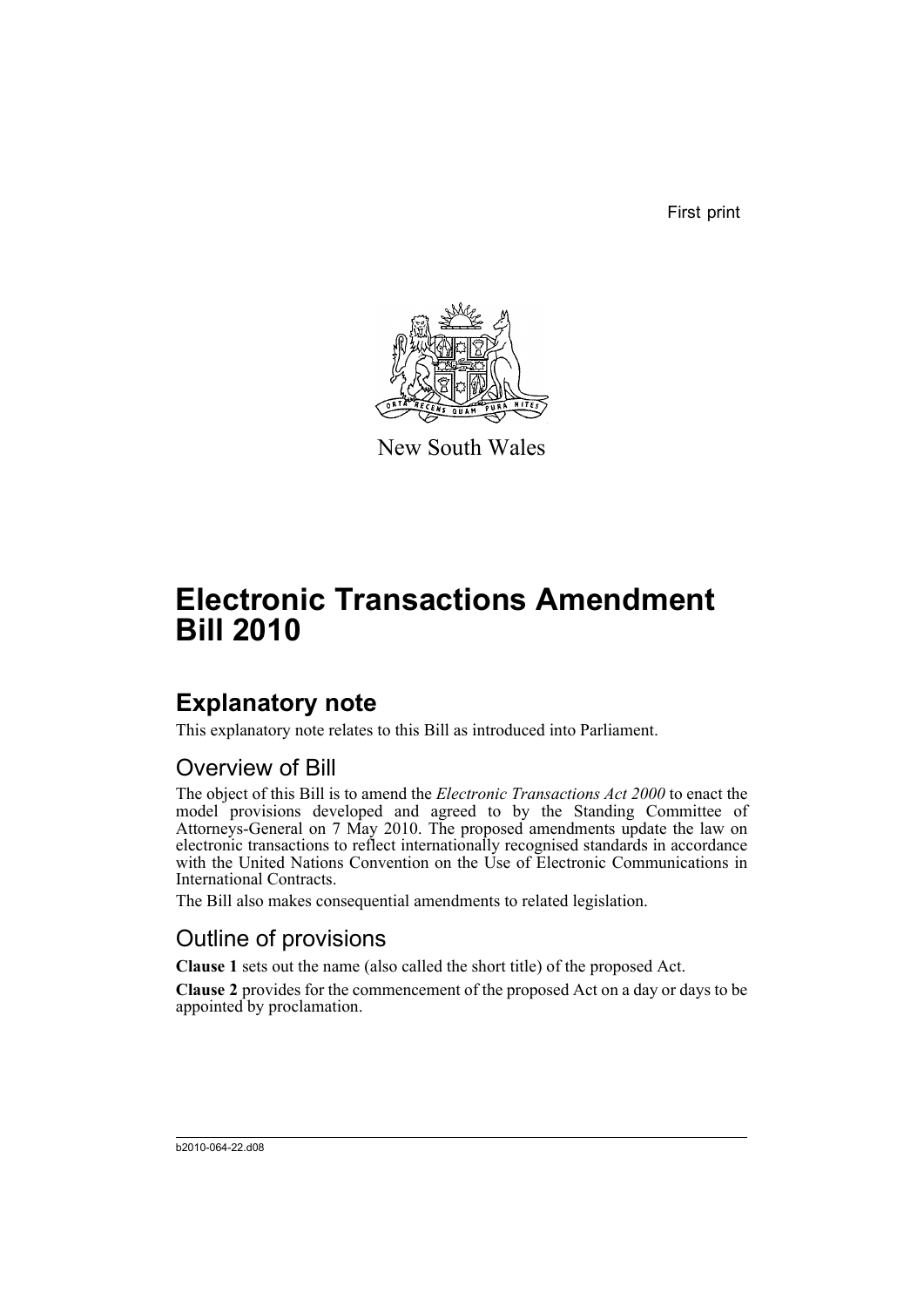First print



New South Wales

# **Electronic Transactions Amendment Bill 2010**

# **Explanatory note**

This explanatory note relates to this Bill as introduced into Parliament.

# Overview of Bill

The object of this Bill is to amend the *Electronic Transactions Act 2000* to enact the model provisions developed and agreed to by the Standing Committee of Attorneys-General on 7 May 2010. The proposed amendments update the law on electronic transactions to reflect internationally recognised standards in accordance with the United Nations Convention on the Use of Electronic Communications in International Contracts.

The Bill also makes consequential amendments to related legislation.

# Outline of provisions

**Clause 1** sets out the name (also called the short title) of the proposed Act.

**Clause 2** provides for the commencement of the proposed Act on a day or days to be appointed by proclamation.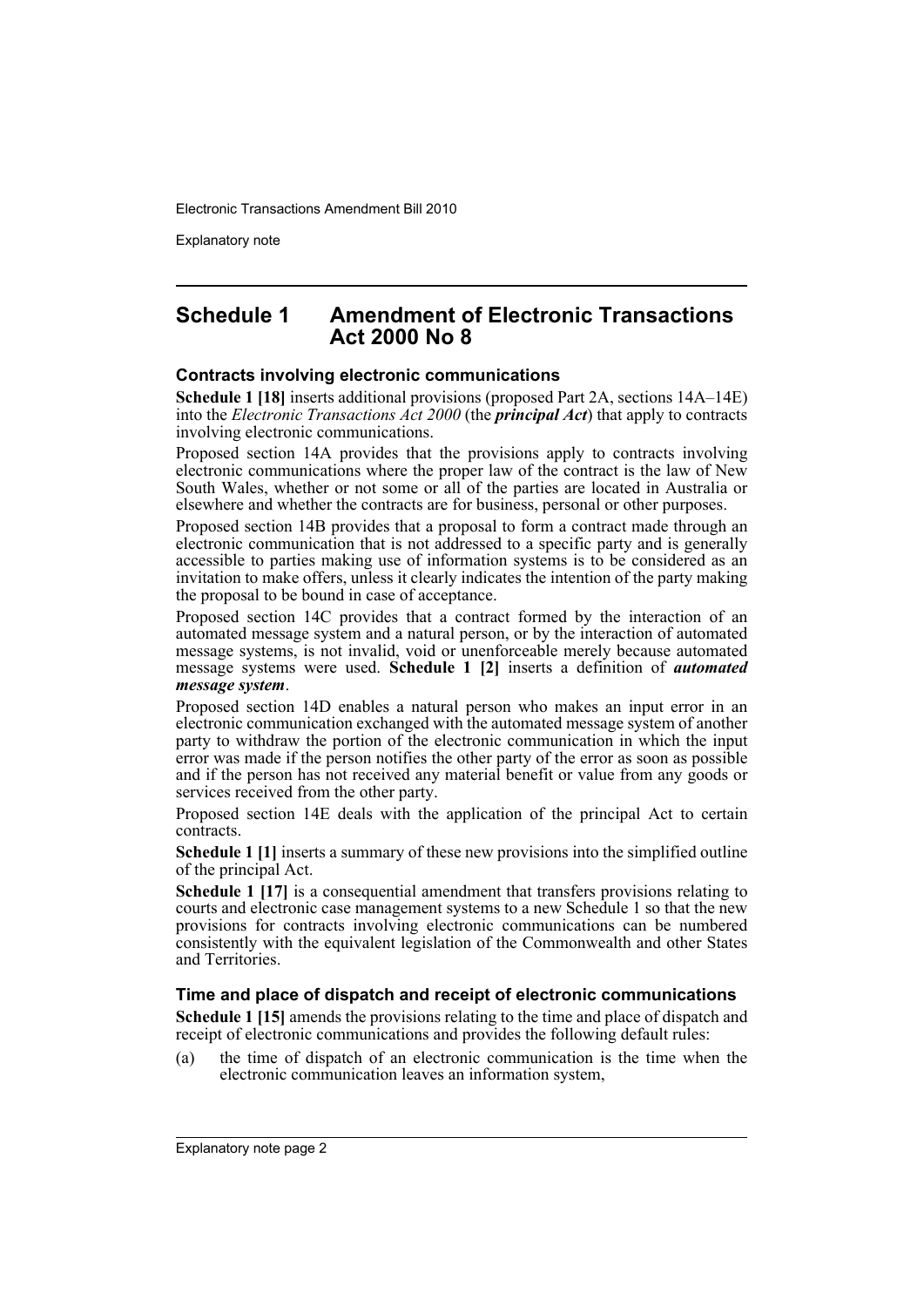Explanatory note

## **Schedule 1 Amendment of Electronic Transactions Act 2000 No 8**

### **Contracts involving electronic communications**

**Schedule 1 [18]** inserts additional provisions (proposed Part 2A, sections 14A–14E) into the *Electronic Transactions Act 2000* (the *principal Act*) that apply to contracts involving electronic communications.

Proposed section 14A provides that the provisions apply to contracts involving electronic communications where the proper law of the contract is the law of New South Wales, whether or not some or all of the parties are located in Australia or elsewhere and whether the contracts are for business, personal or other purposes.

Proposed section 14B provides that a proposal to form a contract made through an electronic communication that is not addressed to a specific party and is generally accessible to parties making use of information systems is to be considered as an invitation to make offers, unless it clearly indicates the intention of the party making the proposal to be bound in case of acceptance.

Proposed section 14C provides that a contract formed by the interaction of an automated message system and a natural person, or by the interaction of automated message systems, is not invalid, void or unenforceable merely because automated message systems were used. **Schedule 1 [2]** inserts a definition of *automated message system*.

Proposed section 14D enables a natural person who makes an input error in an electronic communication exchanged with the automated message system of another party to withdraw the portion of the electronic communication in which the input error was made if the person notifies the other party of the error as soon as possible and if the person has not received any material benefit or value from any goods or services received from the other party.

Proposed section 14E deals with the application of the principal Act to certain contracts.

**Schedule 1 [1]** inserts a summary of these new provisions into the simplified outline of the principal Act.

**Schedule 1 [17]** is a consequential amendment that transfers provisions relating to courts and electronic case management systems to a new Schedule 1 so that the new provisions for contracts involving electronic communications can be numbered consistently with the equivalent legislation of the Commonwealth and other States and Territories.

### **Time and place of dispatch and receipt of electronic communications**

**Schedule 1 [15]** amends the provisions relating to the time and place of dispatch and receipt of electronic communications and provides the following default rules:

(a) the time of dispatch of an electronic communication is the time when the electronic communication leaves an information system,

Explanatory note page 2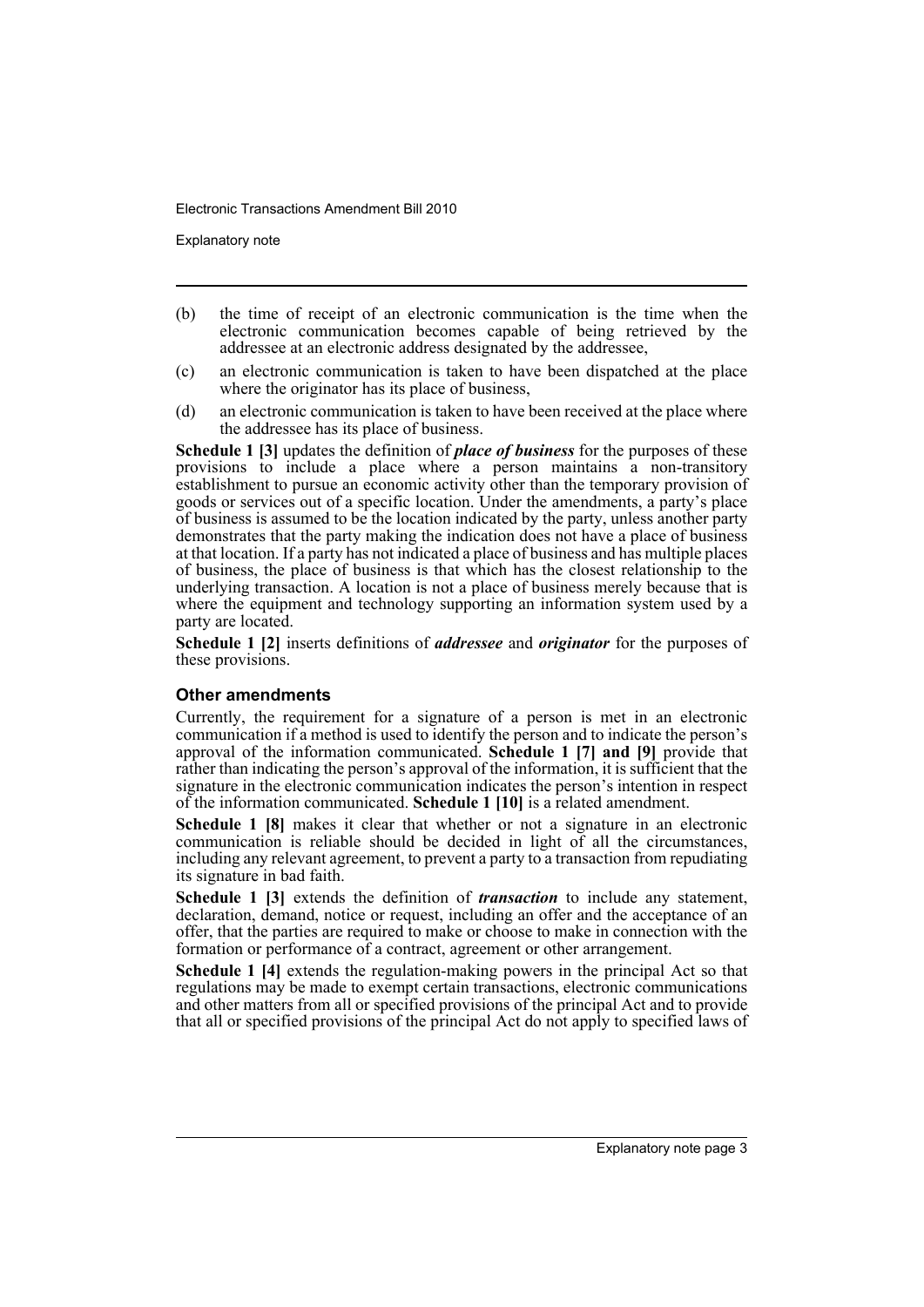Explanatory note

- (b) the time of receipt of an electronic communication is the time when the electronic communication becomes capable of being retrieved by the addressee at an electronic address designated by the addressee,
- (c) an electronic communication is taken to have been dispatched at the place where the originator has its place of business,
- (d) an electronic communication is taken to have been received at the place where the addressee has its place of business.

**Schedule 1 [3]** updates the definition of *place of business* for the purposes of these provisions to include a place where a person maintains a non-transitory establishment to pursue an economic activity other than the temporary provision of goods or services out of a specific location. Under the amendments, a party's place of business is assumed to be the location indicated by the party, unless another party demonstrates that the party making the indication does not have a place of business at that location. If a party has not indicated a place of business and has multiple places of business, the place of business is that which has the closest relationship to the underlying transaction. A location is not a place of business merely because that is where the equipment and technology supporting an information system used by a party are located.

**Schedule 1 [2]** inserts definitions of *addressee* and *originator* for the purposes of these provisions.

### **Other amendments**

Currently, the requirement for a signature of a person is met in an electronic communication if a method is used to identify the person and to indicate the person's approval of the information communicated. **Schedule 1 [7] and [9]** provide that rather than indicating the person's approval of the information, it is sufficient that the signature in the electronic communication indicates the person's intention in respect of the information communicated. **Schedule 1 [10]** is a related amendment.

**Schedule 1 [8]** makes it clear that whether or not a signature in an electronic communication is reliable should be decided in light of all the circumstances, including any relevant agreement, to prevent a party to a transaction from repudiating its signature in bad faith.

**Schedule 1 [3]** extends the definition of *transaction* to include any statement, declaration, demand, notice or request, including an offer and the acceptance of an offer, that the parties are required to make or choose to make in connection with the formation or performance of a contract, agreement or other arrangement.

**Schedule 1 [4]** extends the regulation-making powers in the principal Act so that regulations may be made to exempt certain transactions, electronic communications and other matters from all or specified provisions of the principal Act and to provide that all or specified provisions of the principal Act do not apply to specified laws of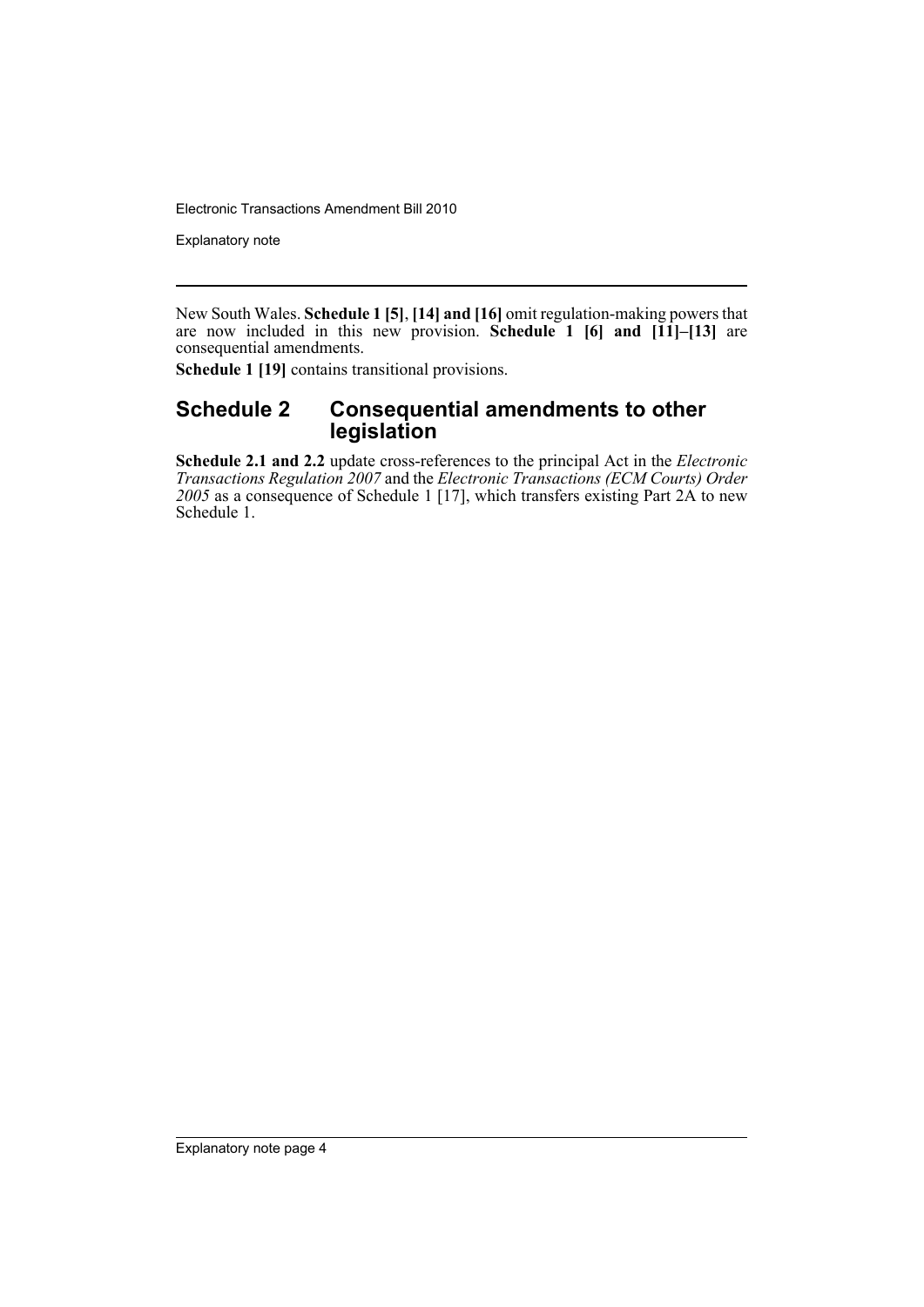Explanatory note

New South Wales. **Schedule 1 [5]**, **[14] and [16]** omit regulation-making powers that are now included in this new provision. **Schedule 1 [6] and [11]–[13]** are consequential amendments.

**Schedule 1 [19]** contains transitional provisions.

## **Schedule 2 Consequential amendments to other legislation**

**Schedule 2.1 and 2.2** update cross-references to the principal Act in the *Electronic Transactions Regulation 2007* and the *Electronic Transactions (ECM Courts) Order 2005* as a consequence of Schedule 1 [17], which transfers existing Part 2A to new Schedule 1.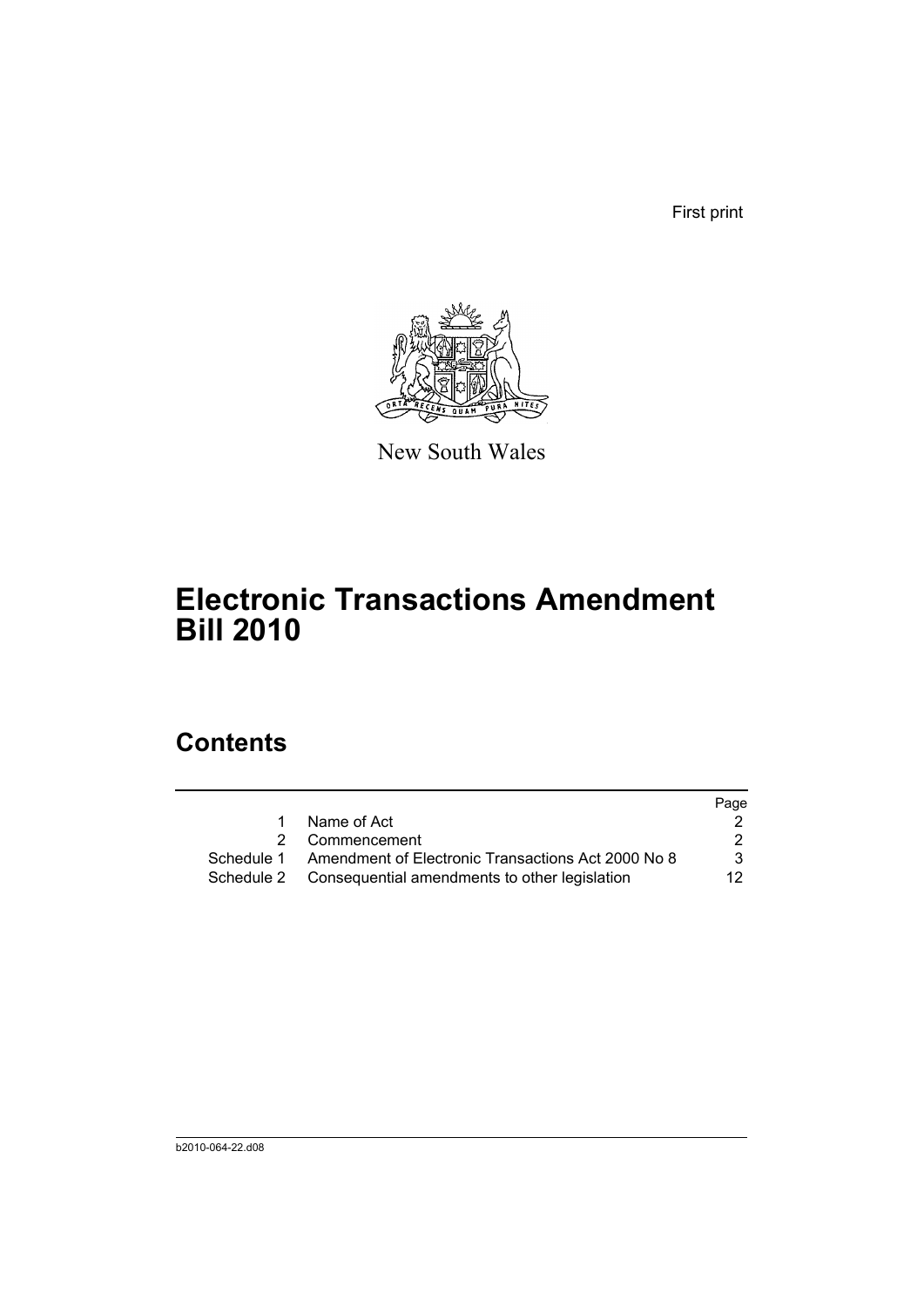First print



New South Wales

# **Electronic Transactions Amendment Bill 2010**

# **Contents**

|            |                                                          | Page |
|------------|----------------------------------------------------------|------|
| 1          | Name of Act                                              |      |
|            | 2 Commencement                                           | 2    |
| Schedule 1 | Amendment of Electronic Transactions Act 2000 No 8       | 3    |
|            | Schedule 2 Consequential amendments to other legislation | 12.  |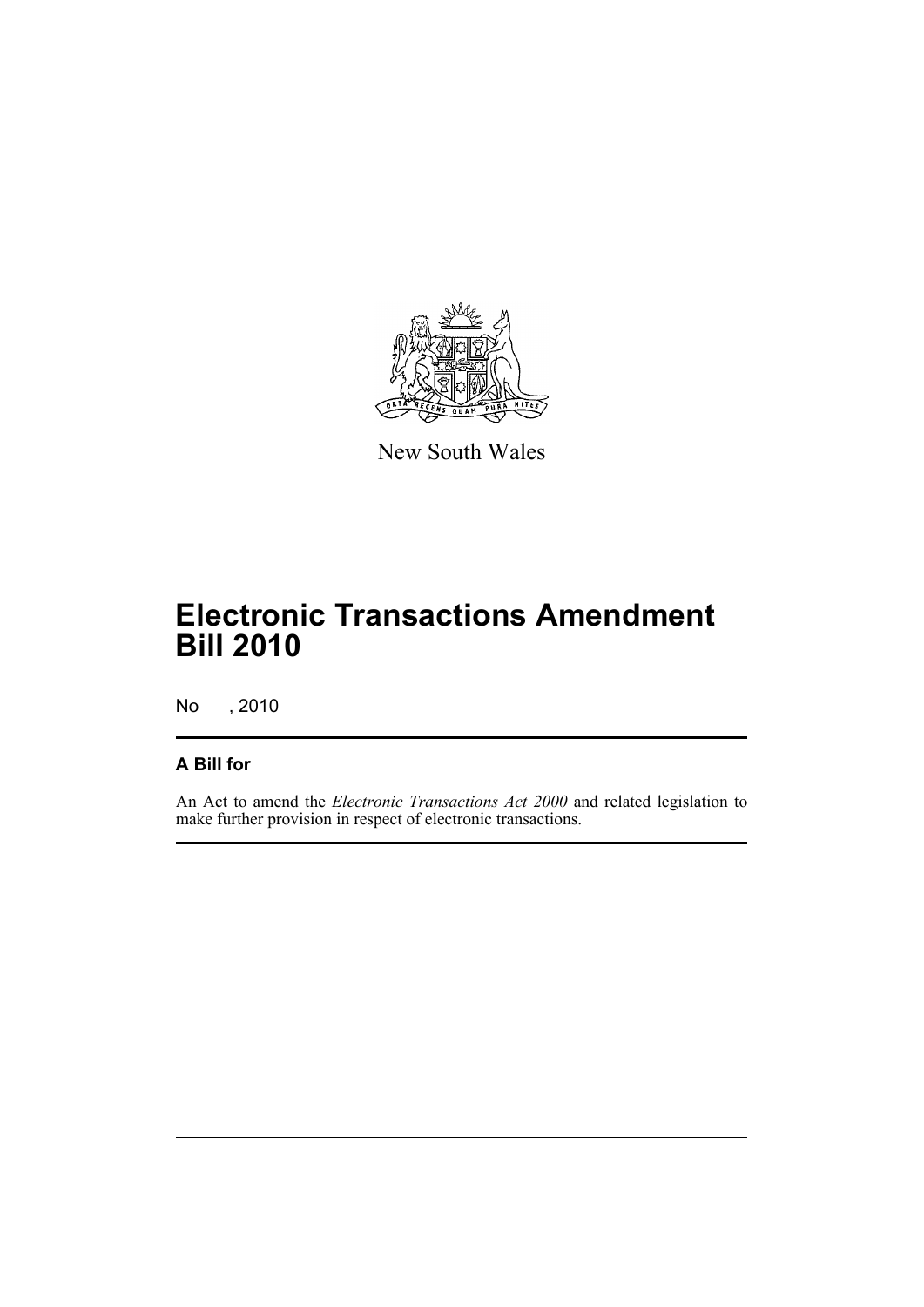

New South Wales

# **Electronic Transactions Amendment Bill 2010**

No , 2010

## **A Bill for**

An Act to amend the *Electronic Transactions Act 2000* and related legislation to make further provision in respect of electronic transactions.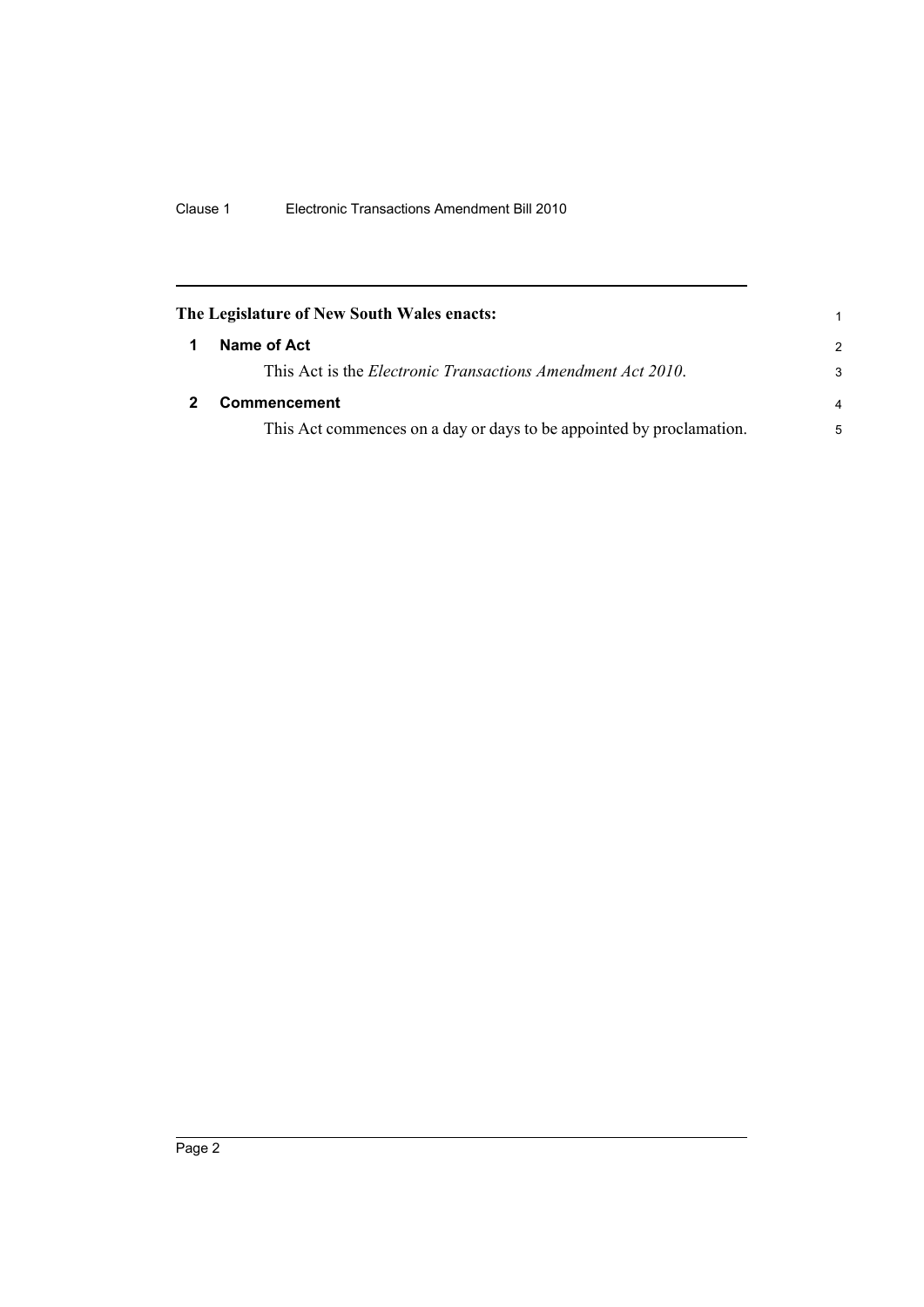<span id="page-7-1"></span><span id="page-7-0"></span>

| The Legislature of New South Wales enacts:                           |               |
|----------------------------------------------------------------------|---------------|
| Name of Act                                                          | $\mathcal{P}$ |
| This Act is the <i>Electronic Transactions Amendment Act 2010</i> .  | 3             |
| Commencement                                                         | 4             |
| This Act commences on a day or days to be appointed by proclamation. | 5             |
|                                                                      |               |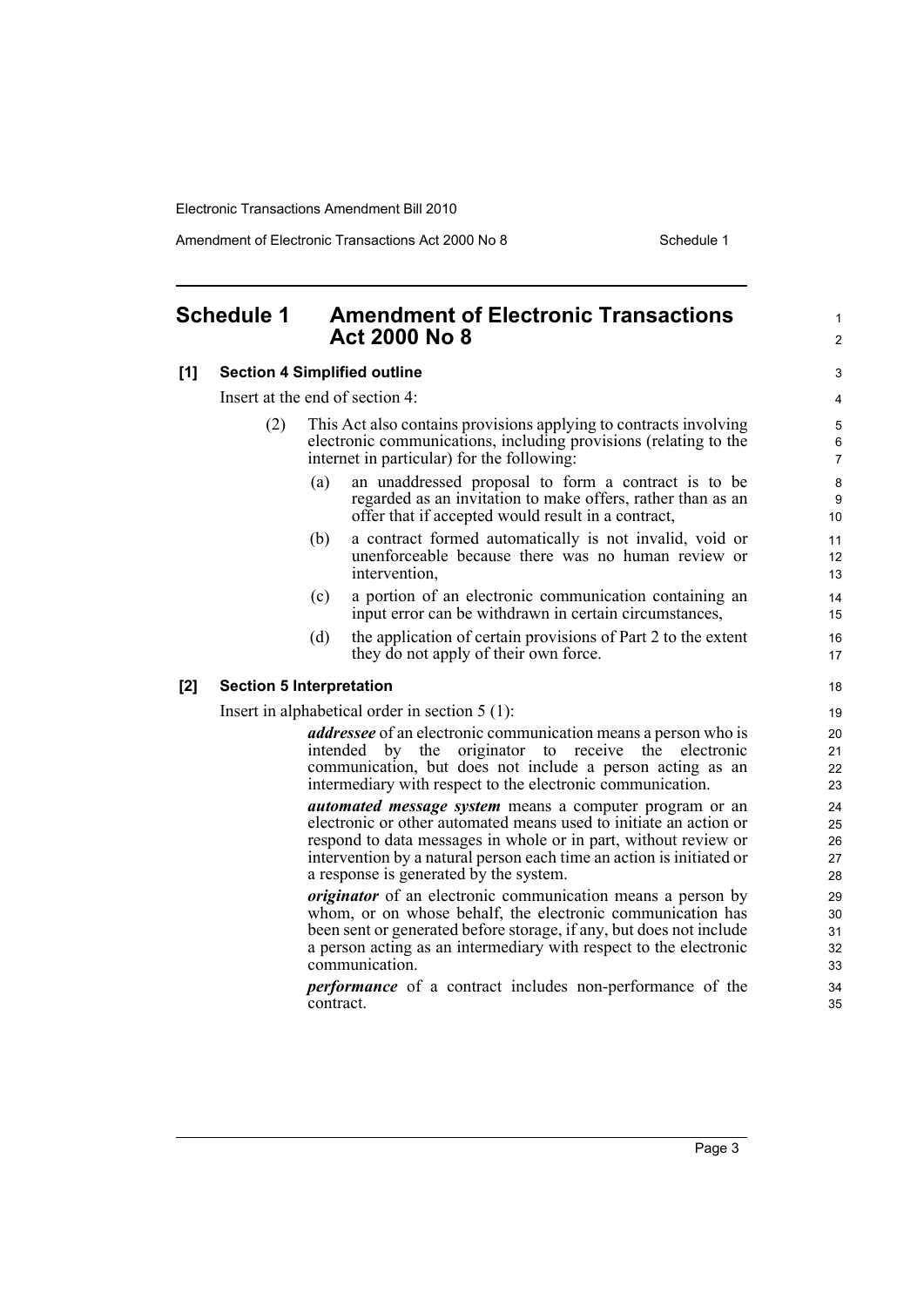Amendment of Electronic Transactions Act 2000 No 8 Schedule 1

1  $\mathfrak{p}$ 

## <span id="page-8-0"></span>**Schedule 1 Amendment of Electronic Transactions Act 2000 No 8**

#### **[1] Section 4 Simplified outline**

Insert at the end of section 4:

- (2) This Act also contains provisions applying to contracts involving electronic communications, including provisions (relating to the internet in particular) for the following:
	- (a) an unaddressed proposal to form a contract is to be regarded as an invitation to make offers, rather than as an offer that if accepted would result in a contract,
	- (b) a contract formed automatically is not invalid, void or unenforceable because there was no human review or intervention,
	- (c) a portion of an electronic communication containing an input error can be withdrawn in certain circumstances,
	- (d) the application of certain provisions of Part 2 to the extent they do not apply of their own force.

### **[2] Section 5 Interpretation**

Insert in alphabetical order in section 5 (1):

*addressee* of an electronic communication means a person who is intended by the originator to receive the electronic communication, but does not include a person acting as an intermediary with respect to the electronic communication.

*automated message system* means a computer program or an electronic or other automated means used to initiate an action or respond to data messages in whole or in part, without review or intervention by a natural person each time an action is initiated or a response is generated by the system.

*originator* of an electronic communication means a person by whom, or on whose behalf, the electronic communication has been sent or generated before storage, if any, but does not include a person acting as an intermediary with respect to the electronic communication.

*performance* of a contract includes non-performance of the contract.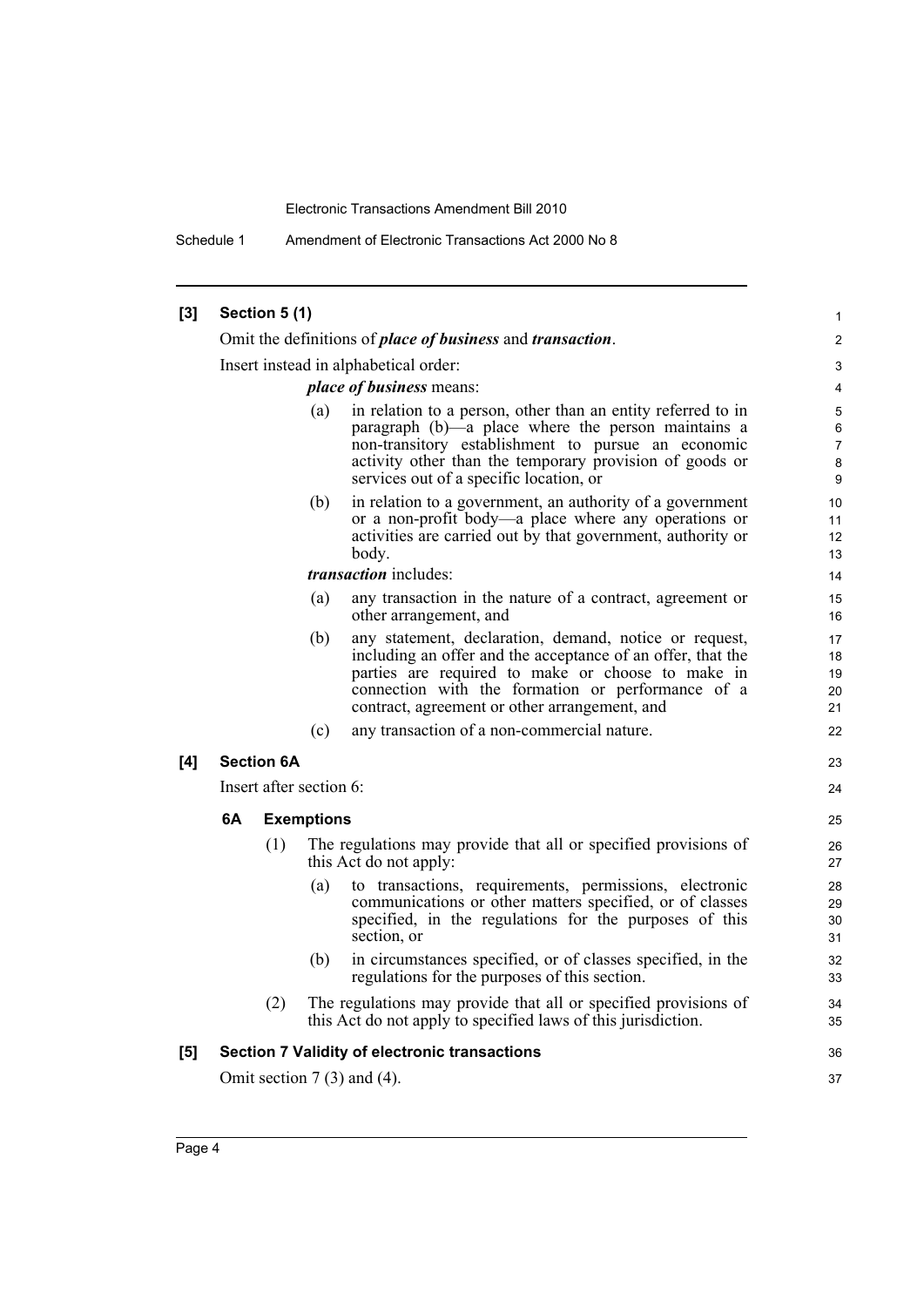Schedule 1 Amendment of Electronic Transactions Act 2000 No 8

| [3] |                                                                           | Section 5 (1)     |                   |                                                                                                                                                                                                                                                                                  | 1                                  |  |
|-----|---------------------------------------------------------------------------|-------------------|-------------------|----------------------------------------------------------------------------------------------------------------------------------------------------------------------------------------------------------------------------------------------------------------------------------|------------------------------------|--|
|     | Omit the definitions of <i>place of business</i> and <i>transaction</i> . |                   |                   |                                                                                                                                                                                                                                                                                  |                                    |  |
|     |                                                                           |                   |                   | Insert instead in alphabetical order:                                                                                                                                                                                                                                            | 3                                  |  |
|     |                                                                           |                   |                   | <i>place of business means:</i>                                                                                                                                                                                                                                                  | 4                                  |  |
|     |                                                                           |                   | (a)               | in relation to a person, other than an entity referred to in<br>paragraph (b)—a place where the person maintains a<br>non-transitory establishment to pursue an economic<br>activity other than the temporary provision of goods or<br>services out of a specific location, or   | 5<br>6<br>$\overline{7}$<br>8<br>9 |  |
|     |                                                                           |                   | (b)               | in relation to a government, an authority of a government<br>or a non-profit body—a place where any operations or<br>activities are carried out by that government, authority or<br>body.                                                                                        | 10<br>11<br>12<br>13               |  |
|     |                                                                           |                   |                   | transaction includes:                                                                                                                                                                                                                                                            | 14                                 |  |
|     |                                                                           |                   | (a)               | any transaction in the nature of a contract, agreement or<br>other arrangement, and                                                                                                                                                                                              | 15<br>16                           |  |
|     |                                                                           |                   | (b)               | any statement, declaration, demand, notice or request,<br>including an offer and the acceptance of an offer, that the<br>parties are required to make or choose to make in<br>connection with the formation or performance of a<br>contract, agreement or other arrangement, and | 17<br>18<br>19<br>20<br>21         |  |
|     |                                                                           |                   | (c)               | any transaction of a non-commercial nature.                                                                                                                                                                                                                                      | 22                                 |  |
| [4] |                                                                           | <b>Section 6A</b> |                   |                                                                                                                                                                                                                                                                                  | 23                                 |  |
|     | Insert after section 6:                                                   |                   |                   |                                                                                                                                                                                                                                                                                  |                                    |  |
|     | 6A                                                                        |                   | <b>Exemptions</b> |                                                                                                                                                                                                                                                                                  | 25                                 |  |
|     |                                                                           | (1)               |                   | The regulations may provide that all or specified provisions of<br>this Act do not apply:                                                                                                                                                                                        | 26<br>27                           |  |
|     |                                                                           |                   | (a)               | to transactions, requirements, permissions, electronic<br>communications or other matters specified, or of classes<br>specified, in the regulations for the purposes of this<br>section, or                                                                                      | 28<br>29<br>30<br>31               |  |
|     |                                                                           |                   | (b)               | in circumstances specified, or of classes specified, in the<br>regulations for the purposes of this section.                                                                                                                                                                     | 32<br>33                           |  |
|     |                                                                           | (2)               |                   | The regulations may provide that all or specified provisions of<br>this Act do not apply to specified laws of this jurisdiction.                                                                                                                                                 | 34<br>35                           |  |
| [5] |                                                                           |                   |                   | <b>Section 7 Validity of electronic transactions</b>                                                                                                                                                                                                                             | 36                                 |  |
|     | Omit section $7(3)$ and $(4)$ .                                           |                   |                   |                                                                                                                                                                                                                                                                                  |                                    |  |
|     |                                                                           |                   |                   |                                                                                                                                                                                                                                                                                  |                                    |  |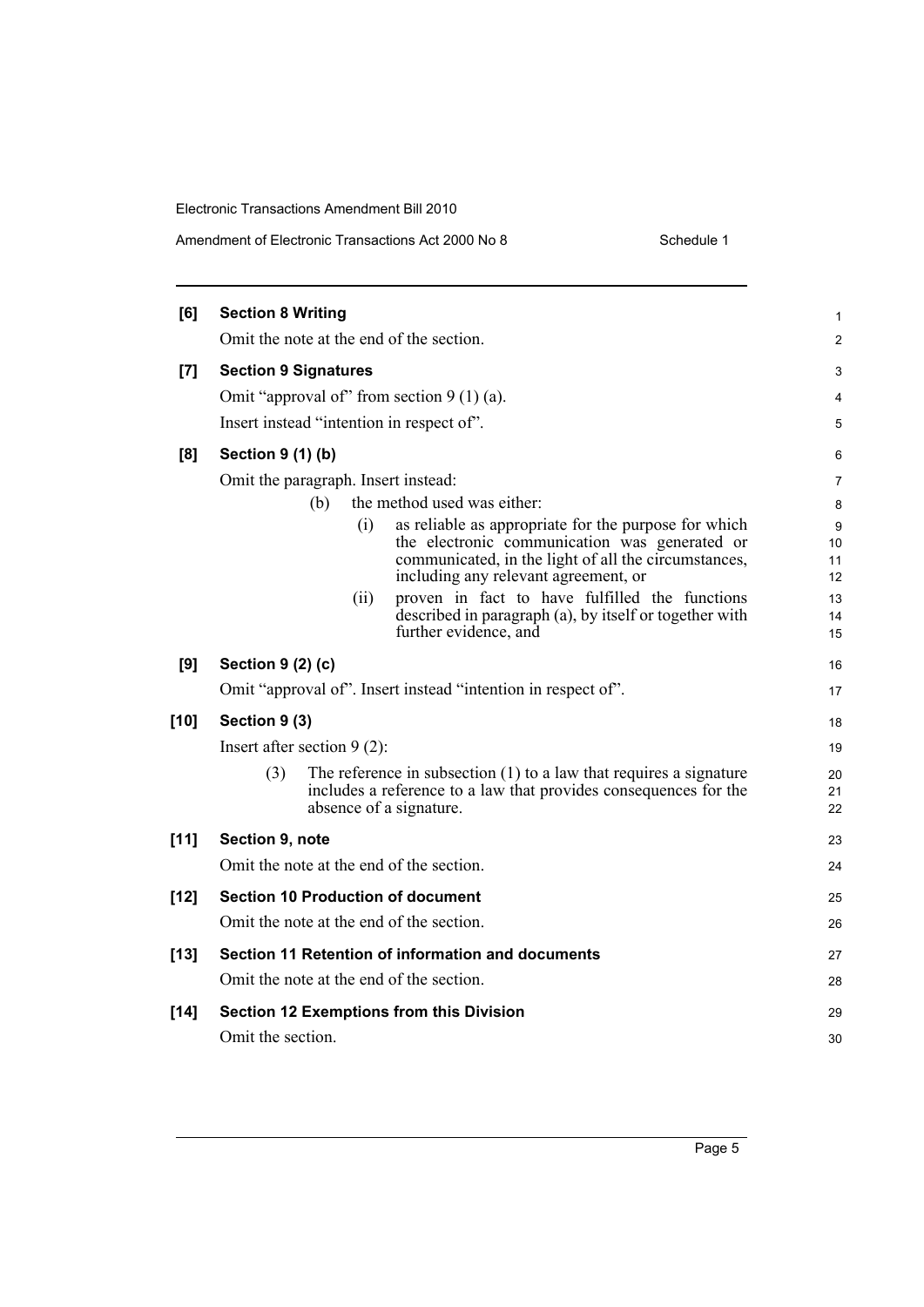| Amendment of Electronic Transactions Act 2000 No 8 | Schedule 1 |
|----------------------------------------------------|------------|
|----------------------------------------------------|------------|

| [6]    | <b>Section 8 Writing</b>                                                                                                                                                                                     | 1                   |  |  |  |
|--------|--------------------------------------------------------------------------------------------------------------------------------------------------------------------------------------------------------------|---------------------|--|--|--|
|        | Omit the note at the end of the section.                                                                                                                                                                     | $\overline{2}$      |  |  |  |
| [7]    | <b>Section 9 Signatures</b>                                                                                                                                                                                  | 3                   |  |  |  |
|        | Omit "approval of" from section $9(1)(a)$ .                                                                                                                                                                  | 4                   |  |  |  |
|        | Insert instead "intention in respect of".                                                                                                                                                                    | 5                   |  |  |  |
| [8]    | Section 9 (1) (b)                                                                                                                                                                                            | 6                   |  |  |  |
|        | Omit the paragraph. Insert instead:                                                                                                                                                                          | 7                   |  |  |  |
|        | the method used was either:<br>(b)                                                                                                                                                                           | 8                   |  |  |  |
|        | as reliable as appropriate for the purpose for which<br>(i)<br>the electronic communication was generated or<br>communicated, in the light of all the circumstances,<br>including any relevant agreement, or | 9<br>10<br>11<br>12 |  |  |  |
|        | proven in fact to have fulfilled the functions<br>(ii)<br>described in paragraph (a), by itself or together with<br>further evidence, and                                                                    | 13<br>14<br>15      |  |  |  |
| [9]    | <b>Section 9 (2) (c)</b>                                                                                                                                                                                     | 16                  |  |  |  |
|        | Omit "approval of". Insert instead "intention in respect of".                                                                                                                                                | 17                  |  |  |  |
| $[10]$ | Section 9 (3)                                                                                                                                                                                                | 18                  |  |  |  |
|        | Insert after section $9(2)$ :                                                                                                                                                                                | 19                  |  |  |  |
|        | (3)<br>The reference in subsection $(1)$ to a law that requires a signature<br>includes a reference to a law that provides consequences for the<br>absence of a signature.                                   | 20<br>21<br>22      |  |  |  |
| $[11]$ | Section 9, note                                                                                                                                                                                              |                     |  |  |  |
|        | Omit the note at the end of the section.                                                                                                                                                                     | 24                  |  |  |  |
| $[12]$ | <b>Section 10 Production of document</b>                                                                                                                                                                     | 25                  |  |  |  |
|        | Omit the note at the end of the section.                                                                                                                                                                     | 26                  |  |  |  |
| $[13]$ | Section 11 Retention of information and documents                                                                                                                                                            | 27                  |  |  |  |
|        | Omit the note at the end of the section.                                                                                                                                                                     | 28                  |  |  |  |
| $[14]$ | <b>Section 12 Exemptions from this Division</b>                                                                                                                                                              | 29                  |  |  |  |
|        | Omit the section.                                                                                                                                                                                            | 30                  |  |  |  |
|        |                                                                                                                                                                                                              |                     |  |  |  |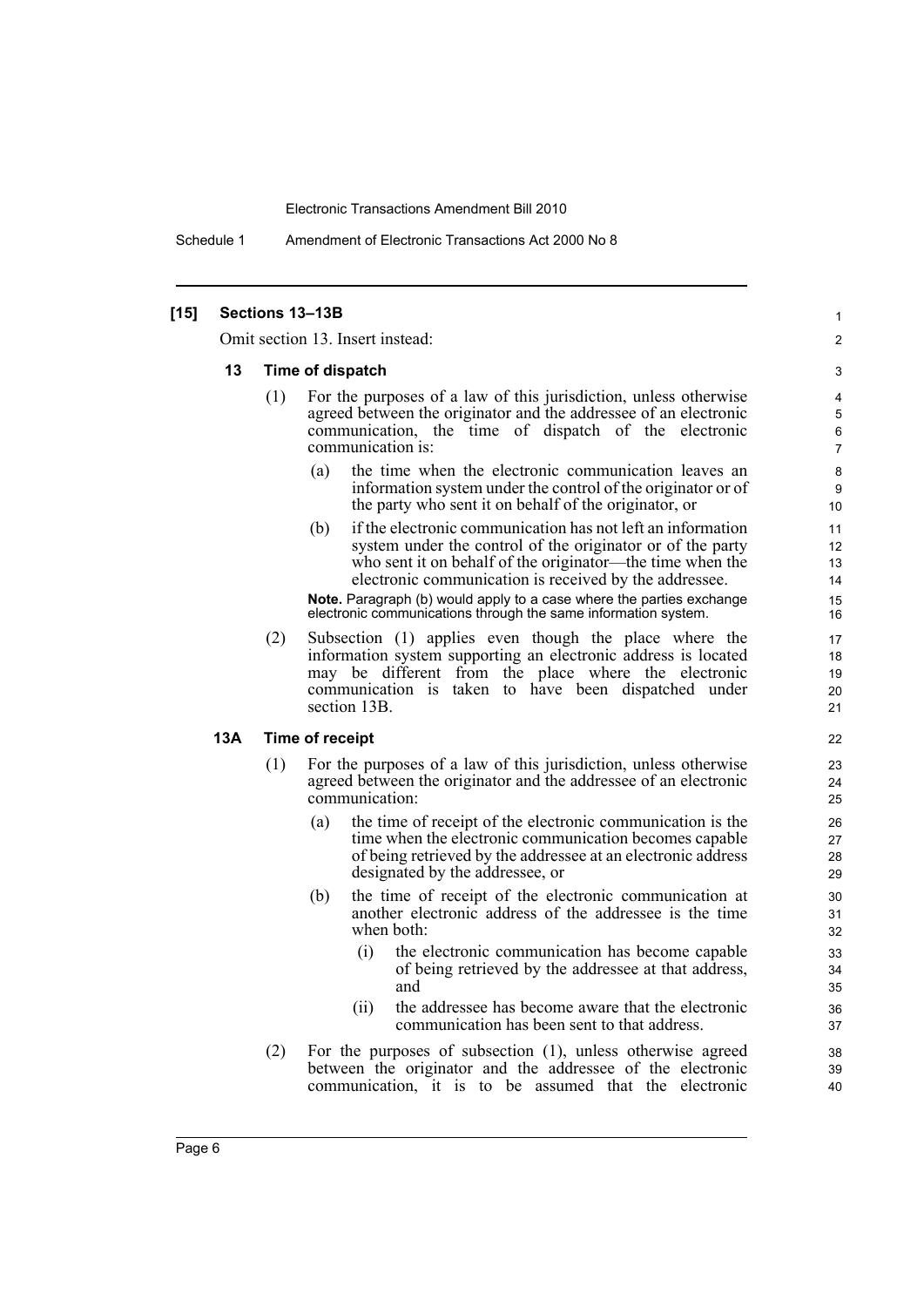Schedule 1 Amendment of Electronic Transactions Act 2000 No 8

#### **[15] Sections 13–13B**

Omit section 13. Insert instead:

#### **13 Time of dispatch**

- (1) For the purposes of a law of this jurisdiction, unless otherwise agreed between the originator and the addressee of an electronic communication, the time of dispatch of the electronic communication is:
	- (a) the time when the electronic communication leaves an information system under the control of the originator or of the party who sent it on behalf of the originator, or

1  $\mathfrak{p}$ 

(b) if the electronic communication has not left an information system under the control of the originator or of the party who sent it on behalf of the originator—the time when the electronic communication is received by the addressee.

**Note.** Paragraph (b) would apply to a case where the parties exchange electronic communications through the same information system.

(2) Subsection (1) applies even though the place where the information system supporting an electronic address is located may be different from the place where the electronic communication is taken to have been dispatched under section 13B.

### **13A Time of receipt**

- (1) For the purposes of a law of this jurisdiction, unless otherwise agreed between the originator and the addressee of an electronic communication:
	- (a) the time of receipt of the electronic communication is the time when the electronic communication becomes capable of being retrieved by the addressee at an electronic address designated by the addressee, or
	- (b) the time of receipt of the electronic communication at another electronic address of the addressee is the time when both:
		- (i) the electronic communication has become capable of being retrieved by the addressee at that address, and
		- (ii) the addressee has become aware that the electronic communication has been sent to that address.
- (2) For the purposes of subsection (1), unless otherwise agreed between the originator and the addressee of the electronic communication, it is to be assumed that the electronic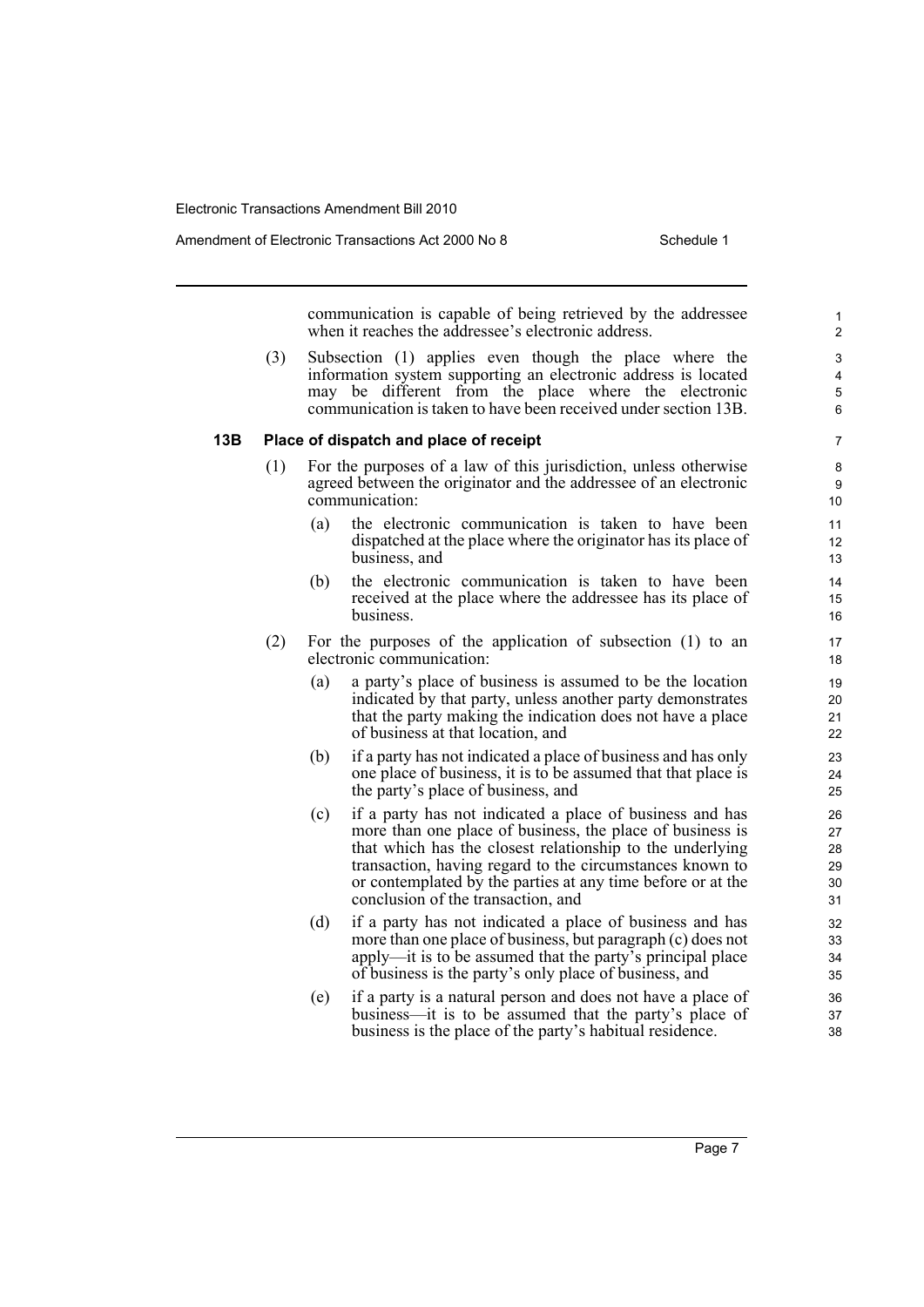#### Amendment of Electronic Transactions Act 2000 No 8 Schedule 1

communication is capable of being retrieved by the addressee when it reaches the addressee's electronic address.

(3) Subsection (1) applies even though the place where the information system supporting an electronic address is located may be different from the place where the electronic communication is taken to have been received under section 13B.

### **13B Place of dispatch and place of receipt**

- (1) For the purposes of a law of this jurisdiction, unless otherwise agreed between the originator and the addressee of an electronic communication:
	- (a) the electronic communication is taken to have been dispatched at the place where the originator has its place of business, and
	- (b) the electronic communication is taken to have been received at the place where the addressee has its place of business.
- (2) For the purposes of the application of subsection (1) to an electronic communication:
	- (a) a party's place of business is assumed to be the location indicated by that party, unless another party demonstrates that the party making the indication does not have a place of business at that location, and
	- (b) if a party has not indicated a place of business and has only one place of business, it is to be assumed that that place is the party's place of business, and
	- (c) if a party has not indicated a place of business and has more than one place of business, the place of business is that which has the closest relationship to the underlying transaction, having regard to the circumstances known to or contemplated by the parties at any time before or at the conclusion of the transaction, and
	- (d) if a party has not indicated a place of business and has more than one place of business, but paragraph (c) does not apply—it is to be assumed that the party's principal place of business is the party's only place of business, and
	- (e) if a party is a natural person and does not have a place of business—it is to be assumed that the party's place of business is the place of the party's habitual residence.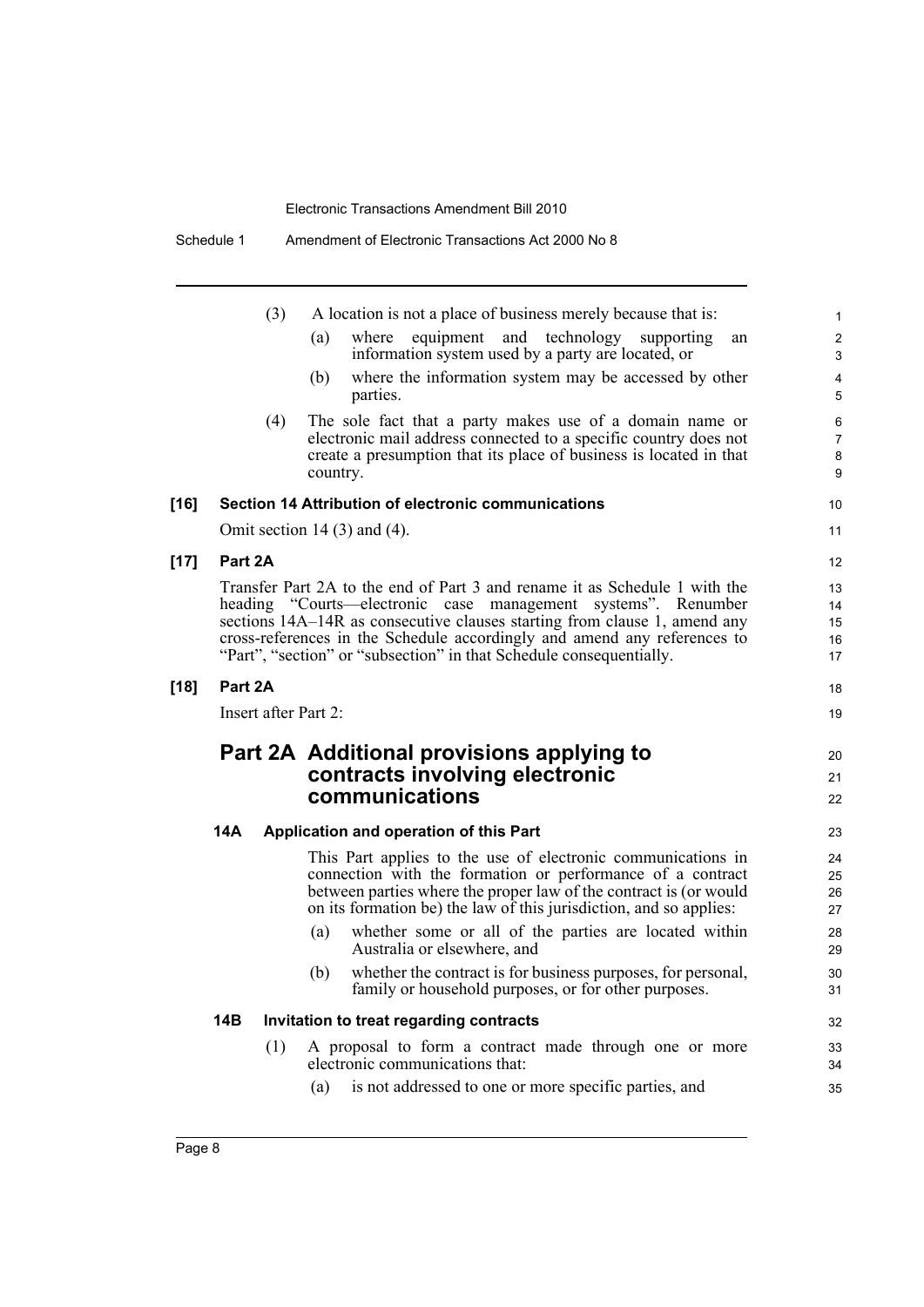|        |                                                                                                                                                                                                                                                                                                                                                                                | (3) | A location is not a place of business merely because that is:                                                                                                                                                                                                         | $\mathbf{1}$                  |  |  |
|--------|--------------------------------------------------------------------------------------------------------------------------------------------------------------------------------------------------------------------------------------------------------------------------------------------------------------------------------------------------------------------------------|-----|-----------------------------------------------------------------------------------------------------------------------------------------------------------------------------------------------------------------------------------------------------------------------|-------------------------------|--|--|
|        |                                                                                                                                                                                                                                                                                                                                                                                |     | where equipment and technology supporting<br>(a)<br>an<br>information system used by a party are located, or                                                                                                                                                          | $\overline{2}$<br>3           |  |  |
|        |                                                                                                                                                                                                                                                                                                                                                                                |     | where the information system may be accessed by other<br>(b)<br>parties.                                                                                                                                                                                              | $\overline{4}$<br>5           |  |  |
|        |                                                                                                                                                                                                                                                                                                                                                                                | (4) | The sole fact that a party makes use of a domain name or<br>electronic mail address connected to a specific country does not<br>create a presumption that its place of business is located in that<br>country.                                                        | 6<br>$\overline{7}$<br>8<br>9 |  |  |
| $[16]$ |                                                                                                                                                                                                                                                                                                                                                                                |     | Section 14 Attribution of electronic communications                                                                                                                                                                                                                   | 10                            |  |  |
|        |                                                                                                                                                                                                                                                                                                                                                                                |     | Omit section 14 $(3)$ and $(4)$ .                                                                                                                                                                                                                                     | 11                            |  |  |
| $[17]$ | Part 2A                                                                                                                                                                                                                                                                                                                                                                        |     |                                                                                                                                                                                                                                                                       | 12 <sup>2</sup>               |  |  |
|        | Transfer Part 2A to the end of Part 3 and rename it as Schedule 1 with the<br>heading "Courts—electronic case management<br>systems". Renumber<br>sections 14A–14R as consecutive clauses starting from clause 1, amend any<br>cross-references in the Schedule accordingly and amend any references to<br>"Part", "section" or "subsection" in that Schedule consequentially. |     |                                                                                                                                                                                                                                                                       |                               |  |  |
| $[18]$ | Part 2A                                                                                                                                                                                                                                                                                                                                                                        |     |                                                                                                                                                                                                                                                                       | 18                            |  |  |
|        | Insert after Part 2:                                                                                                                                                                                                                                                                                                                                                           |     |                                                                                                                                                                                                                                                                       |                               |  |  |
|        |                                                                                                                                                                                                                                                                                                                                                                                |     | Part 2A Additional provisions applying to<br>contracts involving electronic<br>communications                                                                                                                                                                         | 20<br>21<br>22                |  |  |
|        | 14A                                                                                                                                                                                                                                                                                                                                                                            |     | Application and operation of this Part                                                                                                                                                                                                                                | 23                            |  |  |
|        |                                                                                                                                                                                                                                                                                                                                                                                |     | This Part applies to the use of electronic communications in<br>connection with the formation or performance of a contract<br>between parties where the proper law of the contract is (or would<br>on its formation be) the law of this jurisdiction, and so applies: | 24<br>25<br>26<br>27          |  |  |
|        |                                                                                                                                                                                                                                                                                                                                                                                |     | whether some or all of the parties are located within<br>(a)<br>Australia or elsewhere, and                                                                                                                                                                           | 28<br>29                      |  |  |
|        |                                                                                                                                                                                                                                                                                                                                                                                |     | whether the contract is for business purposes, for personal,<br>(b)<br>family or household purposes, or for other purposes.                                                                                                                                           | 30<br>31                      |  |  |
|        | 14B                                                                                                                                                                                                                                                                                                                                                                            |     | Invitation to treat regarding contracts                                                                                                                                                                                                                               | 32                            |  |  |
|        |                                                                                                                                                                                                                                                                                                                                                                                | (1) | A proposal to form a contract made through one or more<br>electronic communications that:                                                                                                                                                                             | 33<br>34                      |  |  |
|        |                                                                                                                                                                                                                                                                                                                                                                                |     | is not addressed to one or more specific parties, and<br>(a)                                                                                                                                                                                                          | 35                            |  |  |

Schedule 1 Amendment of Electronic Transactions Act 2000 No 8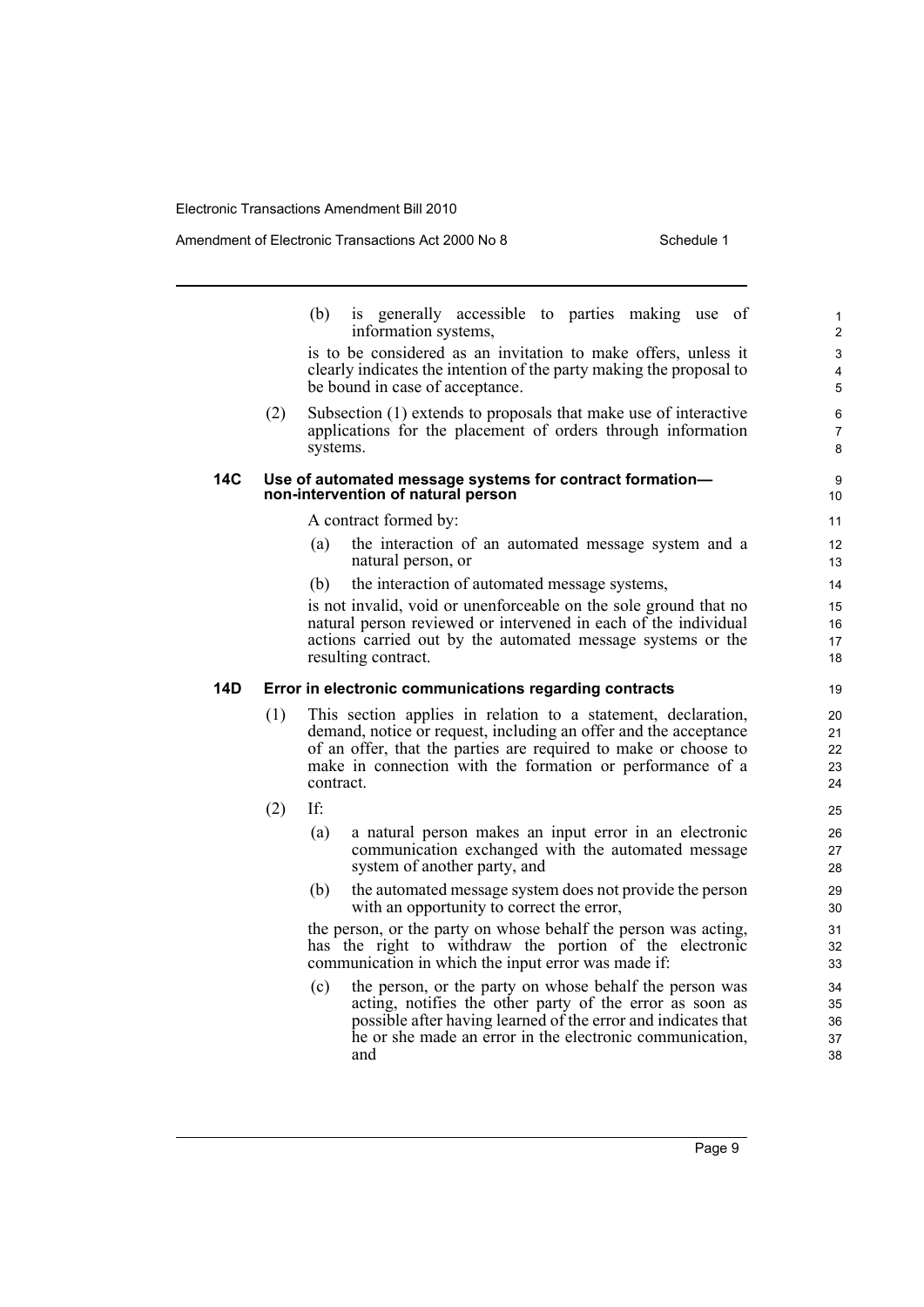## Amendment of Electronic Transactions Act 2000 No 8 Schedule 1

|     |                                                                                                | is generally accessible to parties making use of<br>(b)<br>information systems,                                              | $\mathbf{1}$<br>$\overline{2}$ |  |  |  |
|-----|------------------------------------------------------------------------------------------------|------------------------------------------------------------------------------------------------------------------------------|--------------------------------|--|--|--|
|     |                                                                                                | is to be considered as an invitation to make offers, unless it                                                               | 3                              |  |  |  |
|     |                                                                                                | clearly indicates the intention of the party making the proposal to                                                          | 4                              |  |  |  |
|     |                                                                                                | be bound in case of acceptance.                                                                                              | 5                              |  |  |  |
|     | (2)                                                                                            | Subsection (1) extends to proposals that make use of interactive                                                             | 6                              |  |  |  |
|     |                                                                                                | applications for the placement of orders through information<br>systems.                                                     | $\overline{7}$<br>8            |  |  |  |
|     |                                                                                                |                                                                                                                              |                                |  |  |  |
| 14C | Use of automated message systems for contract formation-<br>non-intervention of natural person |                                                                                                                              |                                |  |  |  |
|     |                                                                                                | A contract formed by:                                                                                                        | 11                             |  |  |  |
|     |                                                                                                | the interaction of an automated message system and a<br>(a)<br>natural person, or                                            | 12<br>13                       |  |  |  |
|     |                                                                                                | the interaction of automated message systems,<br>(b)                                                                         | 14                             |  |  |  |
|     |                                                                                                | is not invalid, void or unenforceable on the sole ground that no                                                             | 15                             |  |  |  |
|     |                                                                                                | natural person reviewed or intervened in each of the individual                                                              | 16                             |  |  |  |
|     |                                                                                                | actions carried out by the automated message systems or the<br>resulting contract.                                           | 17<br>18                       |  |  |  |
|     |                                                                                                |                                                                                                                              |                                |  |  |  |
| 14D |                                                                                                | Error in electronic communications regarding contracts                                                                       | 19                             |  |  |  |
|     | (1)                                                                                            | This section applies in relation to a statement, declaration,                                                                | 20                             |  |  |  |
|     |                                                                                                | demand, notice or request, including an offer and the acceptance                                                             | 21                             |  |  |  |
|     |                                                                                                | of an offer, that the parties are required to make or choose to<br>make in connection with the formation or performance of a | 22<br>23                       |  |  |  |
|     |                                                                                                | contract.                                                                                                                    | 24                             |  |  |  |
|     | (2)                                                                                            | If:                                                                                                                          | 25                             |  |  |  |
|     |                                                                                                | (a)<br>a natural person makes an input error in an electronic                                                                | 26                             |  |  |  |
|     |                                                                                                | communication exchanged with the automated message                                                                           | 27                             |  |  |  |
|     |                                                                                                | system of another party, and                                                                                                 | 28                             |  |  |  |
|     |                                                                                                | the automated message system does not provide the person<br>(b)<br>with an opportunity to correct the error,                 | 29<br>30                       |  |  |  |
|     |                                                                                                | the person, or the party on whose behalf the person was acting,                                                              | 31                             |  |  |  |
|     |                                                                                                | has the right to withdraw the portion of the electronic<br>communication in which the input error was made if:               | 32<br>33                       |  |  |  |
|     |                                                                                                |                                                                                                                              |                                |  |  |  |
|     |                                                                                                | the person, or the party on whose behalf the person was<br>(c)<br>acting, notifies the other party of the error as soon as   | 34<br>35                       |  |  |  |
|     |                                                                                                | possible after having learned of the error and indicates that                                                                | 36                             |  |  |  |
|     |                                                                                                | he or she made an error in the electronic communication,                                                                     | 37                             |  |  |  |
|     |                                                                                                | and                                                                                                                          | 38                             |  |  |  |
|     |                                                                                                |                                                                                                                              |                                |  |  |  |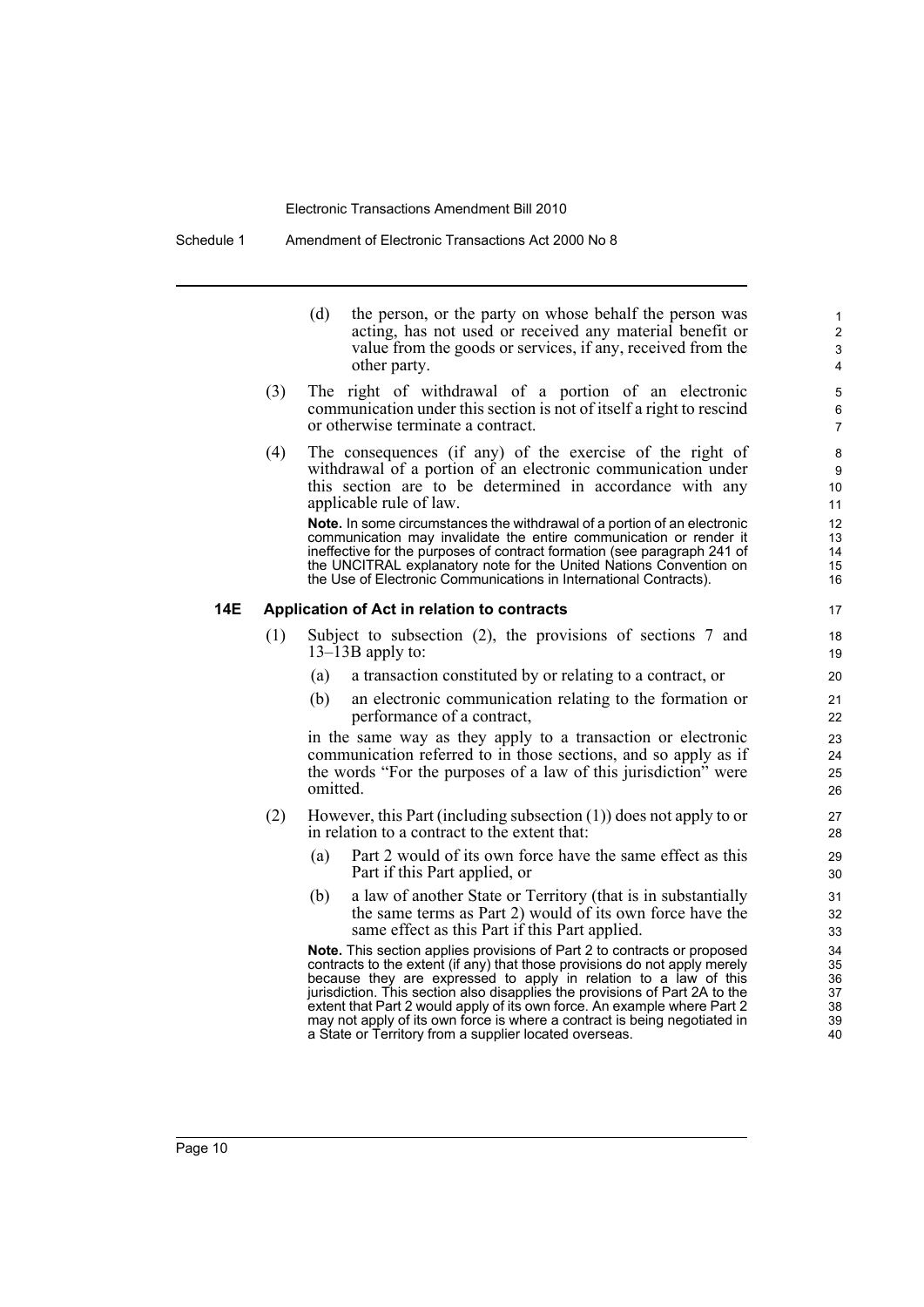Schedule 1 Amendment of Electronic Transactions Act 2000 No 8

(d) the person, or the party on whose behalf the person was acting, has not used or received any material benefit or value from the goods or services, if any, received from the other party.

- (3) The right of withdrawal of a portion of an electronic communication under this section is not of itself a right to rescind or otherwise terminate a contract.
- (4) The consequences (if any) of the exercise of the right of withdrawal of a portion of an electronic communication under this section are to be determined in accordance with any applicable rule of law.

**Note.** In some circumstances the withdrawal of a portion of an electronic communication may invalidate the entire communication or render it ineffective for the purposes of contract formation (see paragraph 241 of the UNCITRAL explanatory note for the United Nations Convention on the Use of Electronic Communications in International Contracts).

#### **14E Application of Act in relation to contracts**

- (1) Subject to subsection (2), the provisions of sections 7 and 13–13B apply to:
	- (a) a transaction constituted by or relating to a contract, or
	- (b) an electronic communication relating to the formation or performance of a contract,

in the same way as they apply to a transaction or electronic communication referred to in those sections, and so apply as if the words "For the purposes of a law of this jurisdiction" were omitted.

- (2) However, this Part (including subsection (1)) does not apply to or in relation to a contract to the extent that:
	- (a) Part 2 would of its own force have the same effect as this Part if this Part applied, or
	- (b) a law of another State or Territory (that is in substantially the same terms as Part 2) would of its own force have the same effect as this Part if this Part applied.

**Note.** This section applies provisions of Part 2 to contracts or proposed contracts to the extent (if any) that those provisions do not apply merely because they are expressed to apply in relation to a law of this jurisdiction. This section also disapplies the provisions of Part 2A to the extent that Part 2 would apply of its own force. An example where Part 2 may not apply of its own force is where a contract is being negotiated in a State or Territory from a supplier located overseas.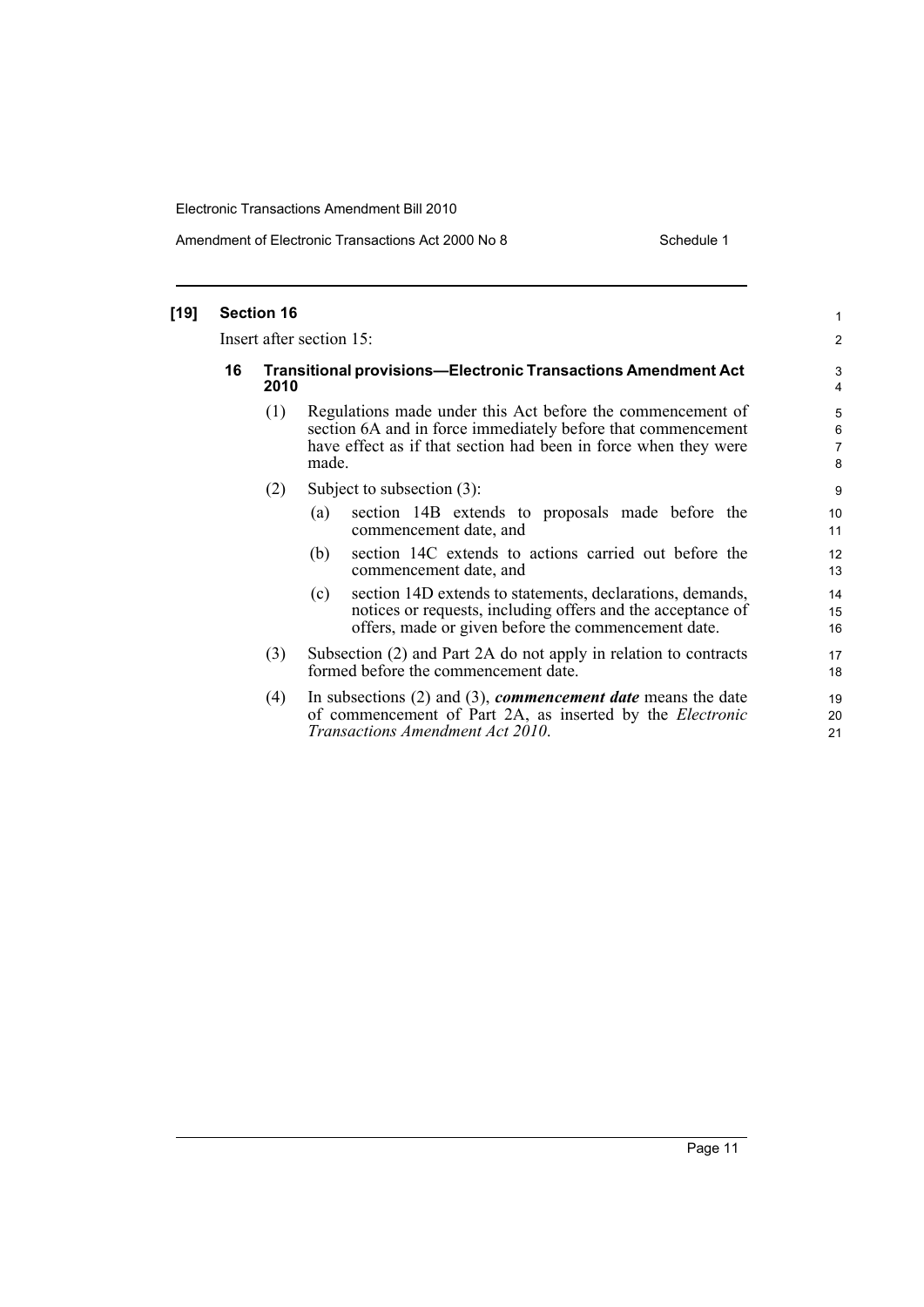## Amendment of Electronic Transactions Act 2000 No 8 Schedule 1

| $[19]$ |                          | <b>Section 16</b>                                                            |                                                                                                                                                                                                        | 1                                 |  |  |
|--------|--------------------------|------------------------------------------------------------------------------|--------------------------------------------------------------------------------------------------------------------------------------------------------------------------------------------------------|-----------------------------------|--|--|
|        | Insert after section 15: |                                                                              |                                                                                                                                                                                                        |                                   |  |  |
|        | 16                       | <b>Transitional provisions-Electronic Transactions Amendment Act</b><br>2010 |                                                                                                                                                                                                        |                                   |  |  |
|        |                          | (1)                                                                          | Regulations made under this Act before the commencement of<br>section 6A and in force immediately before that commencement<br>have effect as if that section had been in force when they were<br>made. | 5<br>$\,6$<br>$\overline{7}$<br>8 |  |  |
|        |                          | (2)                                                                          | Subject to subsection $(3)$ :                                                                                                                                                                          | 9                                 |  |  |
|        |                          |                                                                              | section 14B extends to proposals made before the<br>(a)<br>commencement date, and                                                                                                                      | 10<br>11                          |  |  |
|        |                          |                                                                              | section 14C extends to actions carried out before the<br>(b)<br>commencement date, and                                                                                                                 | 12<br>13                          |  |  |
|        |                          |                                                                              | section 14D extends to statements, declarations, demands,<br>(c)<br>notices or requests, including offers and the acceptance of<br>offers, made or given before the commencement date.                 | 14<br>15<br>16                    |  |  |
|        |                          | (3)                                                                          | Subsection (2) and Part 2A do not apply in relation to contracts<br>formed before the commencement date.                                                                                               | 17<br>18                          |  |  |
|        |                          | (4)                                                                          | In subsections $(2)$ and $(3)$ , <i>commencement date</i> means the date<br>of commencement of Part 2A, as inserted by the <i>Electronic</i><br>Transactions Amendment Act 2010.                       | 19<br>20<br>21                    |  |  |